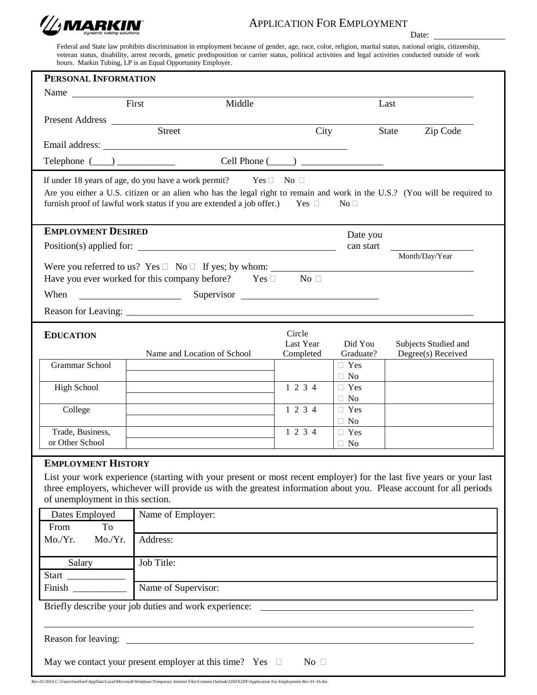

## APPLICATION FOR EMPLOYMENT

Date:

Federal and State law prohibits discrimination in employment because of gender, age, race, color, religion, marital status, national origin, citizenship, veteran status, disability, arrest records, genetic predisposition or carrier status, political activities and legal activities conducted outside of work hours. Markin Tubing, LP is an Equal Opportunity Employer.

| PERSONAL INFORMATION                                                          |                                                                                                                            |            |                         |       |                      |  |  |  |
|-------------------------------------------------------------------------------|----------------------------------------------------------------------------------------------------------------------------|------------|-------------------------|-------|----------------------|--|--|--|
|                                                                               |                                                                                                                            |            |                         |       |                      |  |  |  |
|                                                                               | First<br>Middle                                                                                                            |            |                         | Last  |                      |  |  |  |
| Present Address                                                               |                                                                                                                            |            |                         |       |                      |  |  |  |
|                                                                               | Street                                                                                                                     | City       |                         | State | Zip Code             |  |  |  |
|                                                                               |                                                                                                                            |            |                         |       |                      |  |  |  |
|                                                                               |                                                                                                                            |            |                         |       |                      |  |  |  |
| If under 18 years of age, do you have a work permit? Yes $\Box$ No $\Box$     |                                                                                                                            |            |                         |       |                      |  |  |  |
|                                                                               | Are you either a U.S. citizen or an alien who has the legal right to remain and work in the U.S.? (You will be required to |            |                         |       |                      |  |  |  |
|                                                                               | furnish proof of lawful work status if you are extended a job offer.) Yes $\Box$                                           |            | No <sub>1</sub>         |       |                      |  |  |  |
|                                                                               |                                                                                                                            |            |                         |       |                      |  |  |  |
| <b>EMPLOYMENT DESIRED</b>                                                     |                                                                                                                            |            | Date you                |       |                      |  |  |  |
|                                                                               | Position(s) applied for:                                                                                                   |            | can start               |       |                      |  |  |  |
|                                                                               | Were you referred to us? Yes $\Box$ No $\Box$ If yes; by whom:                                                             |            |                         |       | Month/Day/Year       |  |  |  |
|                                                                               | Have you ever worked for this company before? Yes $\square$ No $\square$                                                   |            |                         |       |                      |  |  |  |
| When                                                                          | <u> 1990 - John Stein, Amerikaansk politiker (</u>                                                                         | Supervisor |                         |       |                      |  |  |  |
|                                                                               |                                                                                                                            |            |                         |       |                      |  |  |  |
|                                                                               |                                                                                                                            |            |                         |       |                      |  |  |  |
| <b>EDUCATION</b>                                                              |                                                                                                                            | Circle     |                         |       |                      |  |  |  |
|                                                                               |                                                                                                                            | Last Year  | Did You                 |       | Subjects Studied and |  |  |  |
| <b>Grammar School</b>                                                         | Name and Location of School                                                                                                | Completed  | Graduate?<br>□ Yes      |       | Degree(s) Received   |  |  |  |
|                                                                               |                                                                                                                            |            | $\Box$ No               |       |                      |  |  |  |
| <b>High School</b>                                                            |                                                                                                                            | 1 2 3 4    | $\Box$ Yes              |       |                      |  |  |  |
|                                                                               |                                                                                                                            |            | $\Box$ No               |       |                      |  |  |  |
| College                                                                       |                                                                                                                            | 1 2 3 4    | $\Box$ Yes<br>$\Box$ No |       |                      |  |  |  |
| Trade, Business,                                                              |                                                                                                                            | 1 2 3 4    | $\Box$ Yes              |       |                      |  |  |  |
| or Other School                                                               |                                                                                                                            |            | $\Box$ No               |       |                      |  |  |  |
| <b>EMPLOYMENT HISTORY</b>                                                     |                                                                                                                            |            |                         |       |                      |  |  |  |
|                                                                               | List your work experience (starting with your present or most recent employer) for the last five years or your last        |            |                         |       |                      |  |  |  |
|                                                                               | three employers, whichever will provide us with the greatest information about you. Please account for all periods         |            |                         |       |                      |  |  |  |
| of unemployment in this section.                                              |                                                                                                                            |            |                         |       |                      |  |  |  |
| Dates Employed                                                                | Name of Employer:                                                                                                          |            |                         |       |                      |  |  |  |
| To<br>From                                                                    |                                                                                                                            |            |                         |       |                      |  |  |  |
| Mo./Yr.<br>Mo./Yr.                                                            | Address:                                                                                                                   |            |                         |       |                      |  |  |  |
|                                                                               |                                                                                                                            |            |                         |       |                      |  |  |  |
| Salary                                                                        | Job Title:                                                                                                                 |            |                         |       |                      |  |  |  |
| Finish                                                                        | Name of Supervisor:                                                                                                        |            |                         |       |                      |  |  |  |
|                                                                               |                                                                                                                            |            |                         |       |                      |  |  |  |
| Briefly describe your job duties and work experience:                         |                                                                                                                            |            |                         |       |                      |  |  |  |
|                                                                               |                                                                                                                            |            |                         |       |                      |  |  |  |
|                                                                               |                                                                                                                            |            |                         |       |                      |  |  |  |
|                                                                               |                                                                                                                            |            |                         |       |                      |  |  |  |
| May we contact your present employer at this time? Yes $\Box$<br>No $\square$ |                                                                                                                            |            |                         |       |                      |  |  |  |